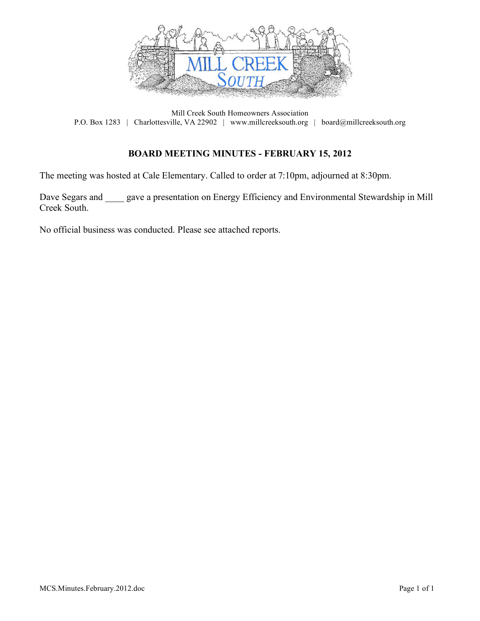

Mill Creek South Homeowners Association P.O. Box 1283 | Charlottesville, VA 22902 | www.millcreeksouth.org | board@millcreeksouth.org

#### **BOARD MEETING MINUTES - FEBRUARY 15, 2012**

The meeting was hosted at Cale Elementary. Called to order at 7:10pm, adjourned at 8:30pm.

Dave Segars and gave a presentation on Energy Efficiency and Environmental Stewardship in Mill Creek South.

No official business was conducted. Please see attached reports.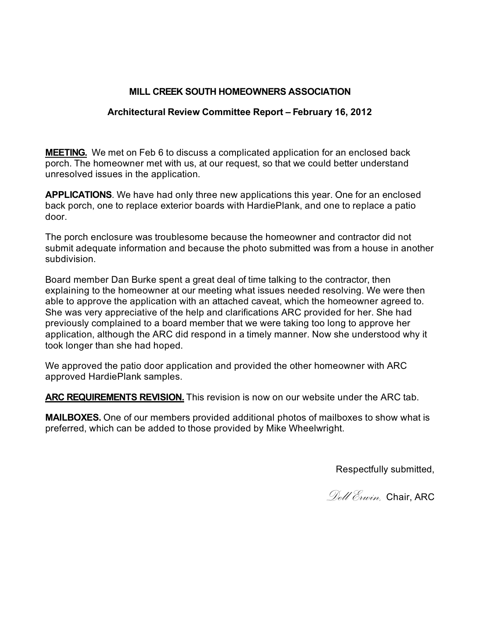### **MILL CREEK SOUTH HOMEOWNERS ASSOCIATION**

## **Architectural Review Committee Report – February 16, 2012**

**MEETING.** We met on Feb 6 to discuss a complicated application for an enclosed back porch. The homeowner met with us, at our request, so that we could better understand unresolved issues in the application.

**APPLICATIONS**. We have had only three new applications this year. One for an enclosed back porch, one to replace exterior boards with HardiePlank, and one to replace a patio door.

The porch enclosure was troublesome because the homeowner and contractor did not submit adequate information and because the photo submitted was from a house in another subdivision.

Board member Dan Burke spent a great deal of time talking to the contractor, then explaining to the homeowner at our meeting what issues needed resolving. We were then able to approve the application with an attached caveat, which the homeowner agreed to. She was very appreciative of the help and clarifications ARC provided for her. She had previously complained to a board member that we were taking too long to approve her application, although the ARC did respond in a timely manner. Now she understood why it took longer than she had hoped.

We approved the patio door application and provided the other homeowner with ARC approved HardiePlank samples.

**ARC REQUIREMENTS REVISION.** This revision is now on our website under the ARC tab.

**MAILBOXES.** One of our members provided additional photos of mailboxes to show what is preferred, which can be added to those provided by Mike Wheelwright.

Respectfully submitted,

*Dell Erwin,* Chair, ARC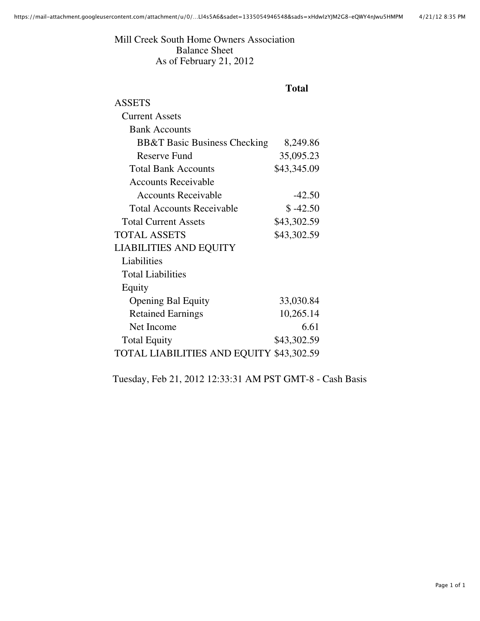Mill Creek South Home Owners Association Balance Sheet As of February 21, 2012

# **Total**

| ASSETS                                   |             |
|------------------------------------------|-------------|
| <b>Current Assets</b>                    |             |
| <b>Bank Accounts</b>                     |             |
| <b>BB&amp;T Basic Business Checking</b>  | 8,249.86    |
| <b>Reserve Fund</b>                      | 35,095.23   |
| <b>Total Bank Accounts</b>               | \$43,345.09 |
| <b>Accounts Receivable</b>               |             |
| <b>Accounts Receivable</b>               | $-42.50$    |
| <b>Total Accounts Receivable</b>         | \$ -42.50   |
| <b>Total Current Assets</b>              | \$43,302.59 |
| <b>TOTAL ASSETS</b>                      | \$43,302.59 |
| <b>LIABILITIES AND EQUITY</b>            |             |
| Liabilities                              |             |
| <b>Total Liabilities</b>                 |             |
| Equity                                   |             |
| <b>Opening Bal Equity</b>                | 33,030.84   |
| <b>Retained Earnings</b>                 | 10,265.14   |
| Net Income                               | 6.61        |
| <b>Total Equity</b>                      | \$43,302.59 |
| TOTAL LIABILITIES AND EQUITY \$43,302.59 |             |

Tuesday, Feb 21, 2012 12:33:31 AM PST GMT-8 - Cash Basis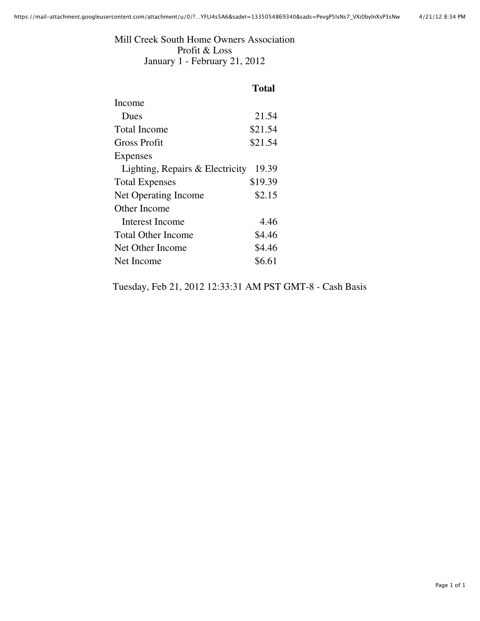Mill Creek South Home Owners Association Profit & Loss January 1 - February 21, 2012

| <b>Total</b> |
|--------------|
|              |
| 21.54        |
| \$21.54      |
| \$21.54      |
|              |
| 19.39        |
| \$19.39      |
| \$2.15       |
|              |
| 4.46         |
| \$4.46       |
| \$4.46       |
| \$6.61       |
|              |

Tuesday, Feb 21, 2012 12:33:31 AM PST GMT-8 - Cash Basis